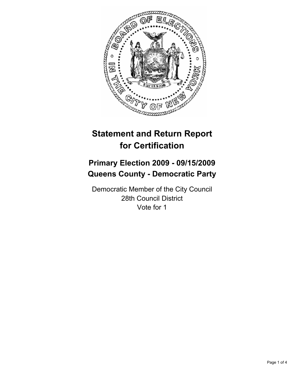

# **Statement and Return Report for Certification**

## **Primary Election 2009 - 09/15/2009 Queens County - Democratic Party**

Democratic Member of the City Council 28th Council District Vote for 1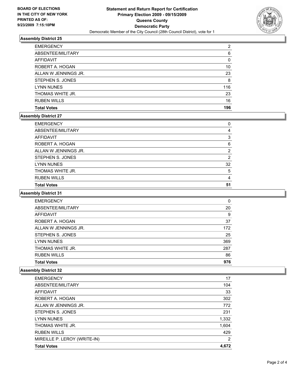

## **Assembly District 25**

| <b>EMERGENCY</b>     | 2   |
|----------------------|-----|
| ABSENTEE/MILITARY    | 6   |
| <b>AFFIDAVIT</b>     | 0   |
| ROBERT A. HOGAN      | 10  |
| ALLAN W JENNINGS JR. | 23  |
| STEPHEN S. JONES     | 8   |
| <b>LYNN NUNES</b>    | 116 |
| THOMAS WHITE JR.     | 23  |
| <b>RUBEN WILLS</b>   | 16  |
| <b>Total Votes</b>   | 196 |

#### **Assembly District 27**

| <b>EMERGENCY</b>     | 0  |
|----------------------|----|
| ABSENTEE/MILITARY    | 4  |
| AFFIDAVIT            | 3  |
| ROBERT A. HOGAN      | 6  |
| ALLAN W JENNINGS JR. | 2  |
| STEPHEN S. JONES     | 2  |
| <b>LYNN NUNES</b>    | 32 |
| THOMAS WHITE JR.     | 5  |
| <b>RUBEN WILLS</b>   | 4  |
| <b>Total Votes</b>   | 51 |

#### **Assembly District 31**

| <b>EMERGENCY</b>     | 0   |
|----------------------|-----|
| ABSENTEE/MILITARY    | 20  |
| <b>AFFIDAVIT</b>     | 9   |
| ROBERT A. HOGAN      | 37  |
| ALLAN W JENNINGS JR. | 172 |
| STEPHEN S. JONES     | 25  |
| <b>LYNN NUNES</b>    | 369 |
| THOMAS WHITE JR.     | 287 |
| <b>RUBEN WILLS</b>   | 86  |
| <b>Total Votes</b>   | 976 |

## **Assembly District 32**

| <b>Total Votes</b>           | 4.672          |
|------------------------------|----------------|
| MIREILLE P. LEROY (WRITE-IN) | $\overline{2}$ |
| <b>RUBEN WILLS</b>           | 429            |
| THOMAS WHITE JR.             | 1,604          |
| <b>LYNN NUNES</b>            | 1,332          |
| STEPHEN S. JONES             | 231            |
| ALLAN W JENNINGS JR.         | 772            |
| ROBERT A. HOGAN              | 302            |
| <b>AFFIDAVIT</b>             | 33             |
| ABSENTEE/MILITARY            | 104            |
| <b>EMERGENCY</b>             | 17             |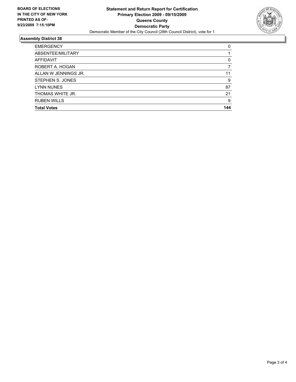

## **Assembly District 38**

| <b>EMERGENCY</b>     | 0   |
|----------------------|-----|
| ABSENTEE/MILITARY    |     |
| <b>AFFIDAVIT</b>     | 0   |
| ROBERT A. HOGAN      |     |
| ALLAN W JENNINGS JR. | 11  |
| STEPHEN S. JONES     | 9   |
| <b>LYNN NUNES</b>    | 87  |
| THOMAS WHITE JR.     | 21  |
| <b>RUBEN WILLS</b>   | 9   |
| <b>Total Votes</b>   | 144 |